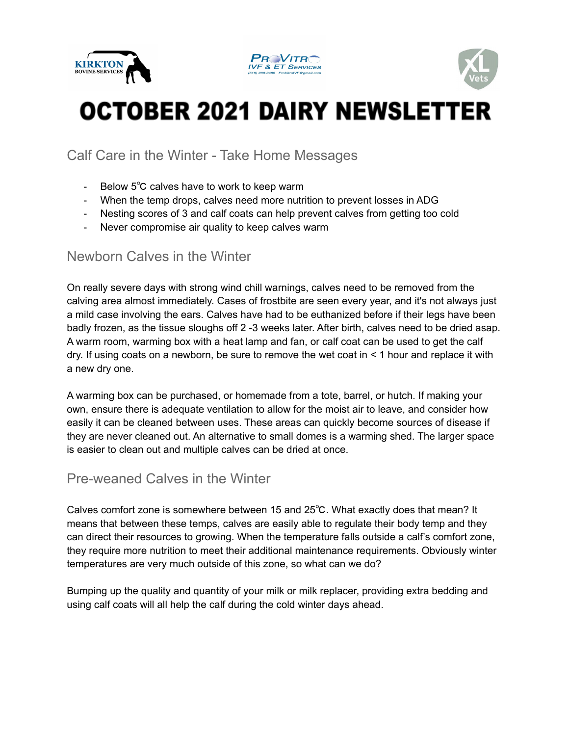





# **OCTOBER 2021 DAIRY NEWSLETTER**

Calf Care in the Winter - Take Home Messages

- Below 5℃ calves have to work to keep warm
- When the temp drops, calves need more nutrition to prevent losses in ADG
- Nesting scores of 3 and calf coats can help prevent calves from getting too cold
- Never compromise air quality to keep calves warm

#### Newborn Calves in the Winter

On really severe days with strong wind chill warnings, calves need to be removed from the calving area almost immediately. Cases of frostbite are seen every year, and it's not always just a mild case involving the ears. Calves have had to be euthanized before if their legs have been badly frozen, as the tissue sloughs off 2 -3 weeks later. After birth, calves need to be dried asap. A warm room, warming box with a heat lamp and fan, or calf coat can be used to get the calf dry. If using coats on a newborn, be sure to remove the wet coat in < 1 hour and replace it with a new dry one.

A warming box can be purchased, or homemade from a tote, barrel, or hutch. If making your own, ensure there is adequate ventilation to allow for the moist air to leave, and consider how easily it can be cleaned between uses. These areas can quickly become sources of disease if they are never cleaned out. An alternative to small domes is a warming shed. The larger space is easier to clean out and multiple calves can be dried at once.

### Pre-weaned Calves in the Winter

Calves comfort zone is somewhere between 15 and 25℃. What exactly does that mean? It means that between these temps, calves are easily able to regulate their body temp and they can direct their resources to growing. When the temperature falls outside a calf's comfort zone, they require more nutrition to meet their additional maintenance requirements. Obviously winter temperatures are very much outside of this zone, so what can we do?

Bumping up the quality and quantity of your milk or milk replacer, providing extra bedding and using calf coats will all help the calf during the cold winter days ahead.